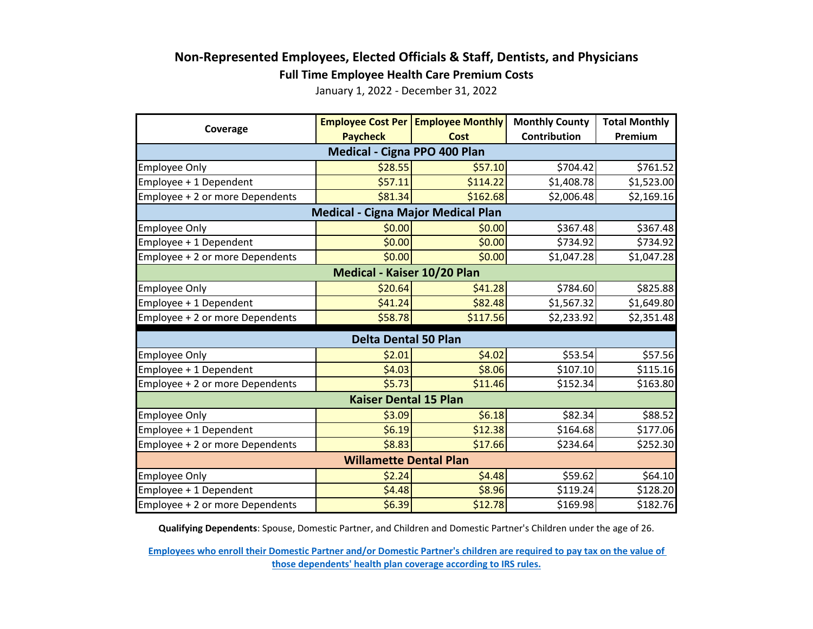## **Non-Represented Employees, Elected Officials & Staff, Dentists, and Physicians**

**Full Time Employee Health Care Premium Costs**

January 1, 2022 - December 31, 2022

| Coverage                                  |                 | <b>Employee Cost Per Employee Monthly</b> | <b>Monthly County</b> | <b>Total Monthly</b> |  |  |  |
|-------------------------------------------|-----------------|-------------------------------------------|-----------------------|----------------------|--|--|--|
|                                           | <b>Paycheck</b> | <b>Cost</b>                               | Contribution          | Premium              |  |  |  |
| Medical - Cigna PPO 400 Plan              |                 |                                           |                       |                      |  |  |  |
| <b>Employee Only</b>                      | \$28.55         | \$57.10                                   | \$704.42              | \$761.52             |  |  |  |
| Employee + 1 Dependent                    | \$57.11         | \$114.22                                  | \$1,408.78            | \$1,523.00           |  |  |  |
| Employee + 2 or more Dependents           | \$81.34         | \$162.68                                  | \$2,006.48            | \$2,169.16           |  |  |  |
| <b>Medical - Cigna Major Medical Plan</b> |                 |                                           |                       |                      |  |  |  |
| <b>Employee Only</b>                      | \$0.00          | \$0.00                                    | \$367.48              | \$367.48             |  |  |  |
| Employee + 1 Dependent                    | \$0.00          | \$0.00                                    | \$734.92              | \$734.92             |  |  |  |
| Employee + 2 or more Dependents           | \$0.00          | \$0.00                                    | \$1,047.28            | \$1,047.28           |  |  |  |
| Medical - Kaiser 10/20 Plan               |                 |                                           |                       |                      |  |  |  |
| <b>Employee Only</b>                      | \$20.64         | \$41.28                                   | \$784.60              | \$825.88             |  |  |  |
| Employee + 1 Dependent                    | \$41.24         | \$82.48                                   | \$1,567.32            | \$1,649.80           |  |  |  |
| Employee + 2 or more Dependents           | \$58.78         | \$117.56                                  | \$2,233.92            | \$2,351.48           |  |  |  |
| <b>Delta Dental 50 Plan</b>               |                 |                                           |                       |                      |  |  |  |
| <b>Employee Only</b>                      | \$2.01          | \$4.02                                    | \$53.54               | \$57.56              |  |  |  |
| Employee + 1 Dependent                    | \$4.03          | \$8.06                                    | \$107.10              | \$115.16             |  |  |  |
| Employee + 2 or more Dependents           | \$5.73          | \$11.46                                   | \$152.34              | \$163.80             |  |  |  |
| <b>Kaiser Dental 15 Plan</b>              |                 |                                           |                       |                      |  |  |  |
| <b>Employee Only</b>                      | \$3.09          | \$6.18                                    | \$82.34               | \$88.52              |  |  |  |
| Employee + 1 Dependent                    | \$6.19          | \$12.38                                   | \$164.68              | \$177.06             |  |  |  |
| Employee + 2 or more Dependents           | \$8.83          | \$17.66                                   | \$234.64              | \$252.30             |  |  |  |
| <b>Willamette Dental Plan</b>             |                 |                                           |                       |                      |  |  |  |
| <b>Employee Only</b>                      | \$2.24          | \$4.48                                    | \$59.62               | \$64.10              |  |  |  |
| Employee + 1 Dependent                    | \$4.48          | \$8.96                                    | \$119.24              | \$128.20             |  |  |  |
| Employee + 2 or more Dependents           | \$6.39          | \$12.78                                   | \$169.98              | \$182.76             |  |  |  |

**Qualifying Dependents**: Spouse, Domestic Partner, and Children and Domestic Partner's Children under the age of 26.

**[Employees who enroll their Domestic Partner and/or Domestic Partner's children](https://multco.us/benefits/non-irs-eligible-dependents-domestic-partners-and-their-children) are required to pay tax on the value of [those dependents' health plan coverage according to](https://multco.us/benefits/non-irs-eligible-dependents-domestic-partners-and-their-children) IRS rules.**